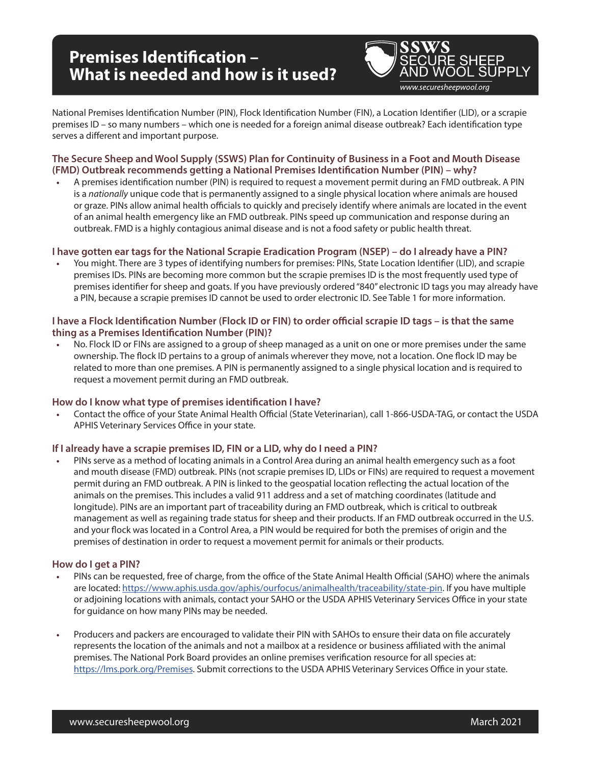# **Premises Identification – What is needed and how is it used?**



National Premises Identification Number (PIN), Flock Identification Number (FIN), a Location Identifier (LID), or a scrapie premises ID – so many numbers – which one is needed for a foreign animal disease outbreak? Each identification type serves a different and important purpose.

## **The Secure Sheep and Wool Supply (SSWS) Plan for Continuity of Business in a Foot and Mouth Disease (FMD) Outbreak recommends getting a National Premises Identification Number (PIN) – why?**

**•** A premises identification number (PIN) is required to request a movement permit during an FMD outbreak. A PIN is a *nationally* unique code that is permanently assigned to a single physical location where animals are housed or graze. PINs allow animal health officials to quickly and precisely identify where animals are located in the event of an animal health emergency like an FMD outbreak. PINs speed up communication and response during an outbreak. FMD is a highly contagious animal disease and is not a food safety or public health threat.

### **I have gotten ear tags for the National Scrapie Eradication Program (NSEP) – do I already have a PIN?**

**•** You might. There are 3 types of identifying numbers for premises: PINs, State Location Identifier (LID), and scrapie premises IDs. PINs are becoming more common but the scrapie premises ID is the most frequently used type of premises identifier for sheep and goats. If you have previously ordered "840" electronic ID tags you may already have a PIN, because a scrapie premises ID cannot be used to order electronic ID. See Table 1 for more information.

#### **I have a Flock Identification Number (Flock ID or FIN) to order official scrapie ID tags – is that the same thing as a Premises Identification Number (PIN)?**

**•** No. Flock ID or FINs are assigned to a group of sheep managed as a unit on one or more premises under the same ownership. The flock ID pertains to a group of animals wherever they move, not a location. One flock ID may be related to more than one premises. A PIN is permanently assigned to a single physical location and is required to request a movement permit during an FMD outbreak.

#### **How do I know what type of premises identification I have?**

**•** Contact the office of your State Animal Health Official (State Veterinarian), call 1-866-USDA-TAG, or contact the USDA APHIS Veterinary Services Office in your state.

#### **If I already have a scrapie premises ID, FIN or a LID, why do I need a PIN?**

**•** PINs serve as a method of locating animals in a Control Area during an animal health emergency such as a foot and mouth disease (FMD) outbreak. PINs (not scrapie premises ID, LIDs or FINs) are required to request a movement permit during an FMD outbreak. A PIN is linked to the geospatial location reflecting the actual location of the animals on the premises. This includes a valid 911 address and a set of matching coordinates (latitude and longitude). PINs are an important part of traceability during an FMD outbreak, which is critical to outbreak management as well as regaining trade status for sheep and their products. If an FMD outbreak occurred in the U.S. and your flock was located in a Control Area, a PIN would be required for both the premises of origin and the premises of destination in order to request a movement permit for animals or their products.

#### **How do I get a PIN?**

- **•** PINs can be requested, free of charge, from the office of the State Animal Health Official (SAHO) where the animals are located: <https://www.aphis.usda.gov/aphis/ourfocus/animalhealth/traceability/state-pin>. If you have multiple or adjoining locations with animals, contact your SAHO or the USDA APHIS Veterinary Services Office in your state for guidance on how many PINs may be needed.
- **•** Producers and packers are encouraged to validate their PIN with SAHOs to ensure their data on file accurately represents the location of the animals and not a mailbox at a residence or business affiliated with the animal premises. The National Pork Board provides an online premises verification resource for all species at: [https://lms.pork.org/Premises.](https://lms.pork.org/Premises) Submit corrections to the USDA APHIS Veterinary Services Office in your state.